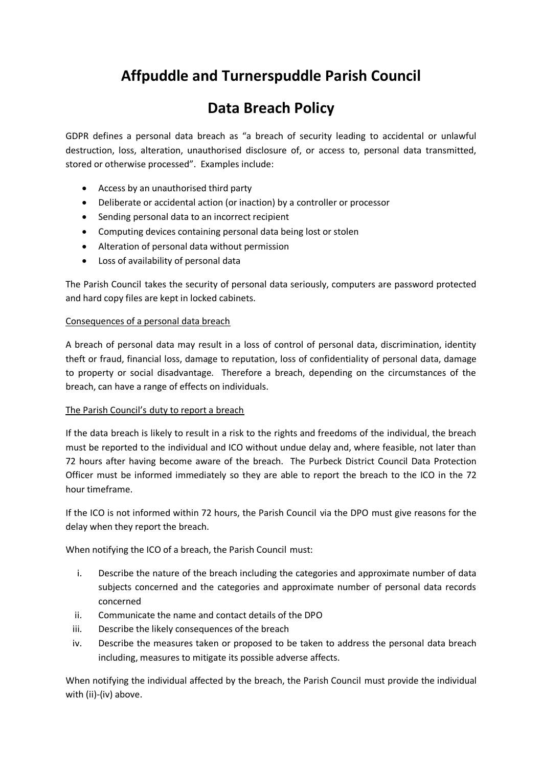# **Affpuddle and Turnerspuddle Parish Council**

# **Data Breach Policy**

GDPR defines a personal data breach as "a breach of security leading to accidental or unlawful destruction, loss, alteration, unauthorised disclosure of, or access to, personal data transmitted, stored or otherwise processed". Examples include:

- Access by an unauthorised third party
- Deliberate or accidental action (or inaction) by a controller or processor
- Sending personal data to an incorrect recipient
- Computing devices containing personal data being lost or stolen
- Alteration of personal data without permission
- Loss of availability of personal data

The Parish Council takes the security of personal data seriously, computers are password protected and hard copy files are kept in locked cabinets.

## Consequences of a personal data breach

A breach of personal data may result in a loss of control of personal data, discrimination, identity theft or fraud, financial loss, damage to reputation, loss of confidentiality of personal data, damage to property or social disadvantage. Therefore a breach, depending on the circumstances of the breach, can have a range of effects on individuals.

### The Parish Council's duty to report a breach

If the data breach is likely to result in a risk to the rights and freedoms of the individual, the breach must be reported to the individual and ICO without undue delay and, where feasible, not later than 72 hours after having become aware of the breach. The Purbeck District Council Data Protection Officer must be informed immediately so they are able to report the breach to the ICO in the 72 hour timeframe.

If the ICO is not informed within 72 hours, the Parish Council via the DPO must give reasons for the delay when they report the breach.

When notifying the ICO of a breach, the Parish Council must:

- i. Describe the nature of the breach including the categories and approximate number of data subjects concerned and the categories and approximate number of personal data records concerned
- ii. Communicate the name and contact details of the DPO
- iii. Describe the likely consequences of the breach
- iv. Describe the measures taken or proposed to be taken to address the personal data breach including, measures to mitigate its possible adverse affects.

When notifying the individual affected by the breach, the Parish Council must provide the individual with (ii)-(iv) above.